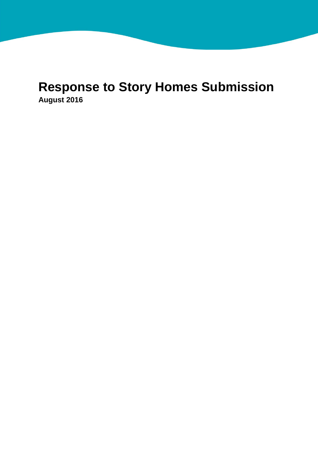# **Response to Story Homes Submission August 2016**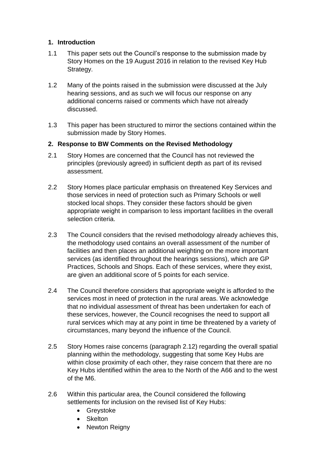## **1. Introduction**

- 1.1 This paper sets out the Council's response to the submission made by Story Homes on the 19 August 2016 in relation to the revised Key Hub Strategy.
- 1.2 Many of the points raised in the submission were discussed at the July hearing sessions, and as such we will focus our response on any additional concerns raised or comments which have not already discussed.
- 1.3 This paper has been structured to mirror the sections contained within the submission made by Story Homes.

## **2. Response to BW Comments on the Revised Methodology**

- 2.1 Story Homes are concerned that the Council has not reviewed the principles (previously agreed) in sufficient depth as part of its revised assessment.
- 2.2 Story Homes place particular emphasis on threatened Key Services and those services in need of protection such as Primary Schools or well stocked local shops. They consider these factors should be given appropriate weight in comparison to less important facilities in the overall selection criteria.
- 2.3 The Council considers that the revised methodology already achieves this, the methodology used contains an overall assessment of the number of facilities and then places an additional weighting on the more important services (as identified throughout the hearings sessions), which are GP Practices, Schools and Shops. Each of these services, where they exist, are given an additional score of 5 points for each service.
- 2.4 The Council therefore considers that appropriate weight is afforded to the services most in need of protection in the rural areas. We acknowledge that no individual assessment of threat has been undertaken for each of these services, however, the Council recognises the need to support all rural services which may at any point in time be threatened by a variety of circumstances, many beyond the influence of the Council.
- 2.5 Story Homes raise concerns (paragraph 2.12) regarding the overall spatial planning within the methodology, suggesting that some Key Hubs are within close proximity of each other, they raise concern that there are no Key Hubs identified within the area to the North of the A66 and to the west of the M6.
- 2.6 Within this particular area, the Council considered the following settlements for inclusion on the revised list of Key Hubs:
	- Greystoke
	- Skelton
	- Newton Reigny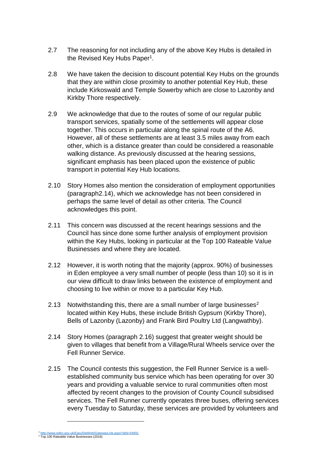- 2.7 The reasoning for not including any of the above Key Hubs is detailed in the Revised Key Hubs Paper<sup>1</sup>.
- 2.8 We have taken the decision to discount potential Key Hubs on the grounds that they are within close proximity to another potential Key Hub, these include Kirkoswald and Temple Sowerby which are close to Lazonby and Kirkby Thore respectively.
- 2.9 We acknowledge that due to the routes of some of our regular public transport services, spatially some of the settlements will appear close together. This occurs in particular along the spinal route of the A6. However, all of these settlements are at least 3.5 miles away from each other, which is a distance greater than could be considered a reasonable walking distance. As previously discussed at the hearing sessions, significant emphasis has been placed upon the existence of public transport in potential Key Hub locations.
- 2.10 Story Homes also mention the consideration of employment opportunities (paragraph2.14), which we acknowledge has not been considered in perhaps the same level of detail as other criteria. The Council acknowledges this point.
- 2.11 This concern was discussed at the recent hearings sessions and the Council has since done some further analysis of employment provision within the Key Hubs, looking in particular at the Top 100 Rateable Value Businesses and where they are located.
- 2.12 However, it is worth noting that the majority (approx. 90%) of businesses in Eden employee a very small number of people (less than 10) so it is in our view difficult to draw links between the existence of employment and choosing to live within or move to a particular Key Hub.
- 2.13 Notwithstanding this, there are a small number of large businesses<sup>2</sup> located within Key Hubs, these include British Gypsum (Kirkby Thore), Bells of Lazonby (Lazonby) and Frank Bird Poultry Ltd (Langwathby).
- 2.14 Story Homes (paragraph 2.16) suggest that greater weight should be given to villages that benefit from a Village/Rural Wheels service over the Fell Runner Service.
- 2.15 The Council contests this suggestion, the Fell Runner Service is a wellestablished community bus service which has been operating for over 30 years and providing a valuable service to rural communities often most affected by recent changes to the provision of County Council subsidised services. The Fell Runner currently operates three buses, offering services every Tuesday to Saturday, these services are provided by volunteers and

l

<sup>&</sup>lt;sup>1</sup> http://www.eden.gov.uk/EasySiteWeb/GatewayLink.aspx?alld=54691<br><sup>2</sup> Top 100 Rateable Value Businesses (2016)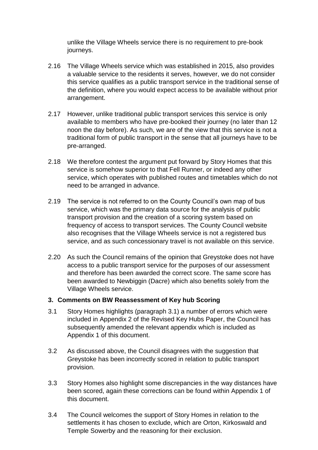unlike the Village Wheels service there is no requirement to pre-book journeys.

- 2.16 The Village Wheels service which was established in 2015, also provides a valuable service to the residents it serves, however, we do not consider this service qualifies as a public transport service in the traditional sense of the definition, where you would expect access to be available without prior arrangement.
- 2.17 However, unlike traditional public transport services this service is only available to members who have pre-booked their journey (no later than 12 noon the day before). As such, we are of the view that this service is not a traditional form of public transport in the sense that all journeys have to be pre-arranged.
- 2.18 We therefore contest the argument put forward by Story Homes that this service is somehow superior to that Fell Runner, or indeed any other service, which operates with published routes and timetables which do not need to be arranged in advance.
- 2.19 The service is not referred to on the County Council's own map of bus service, which was the primary data source for the analysis of public transport provision and the creation of a scoring system based on frequency of access to transport services. The County Council website also recognises that the Village Wheels service is not a registered bus service, and as such concessionary travel is not available on this service.
- 2.20 As such the Council remains of the opinion that Greystoke does not have access to a public transport service for the purposes of our assessment and therefore has been awarded the correct score. The same score has been awarded to Newbiggin (Dacre) which also benefits solely from the Village Wheels service.

#### **3. Comments on BW Reassessment of Key hub Scoring**

- 3.1 Story Homes highlights (paragraph 3.1) a number of errors which were included in Appendix 2 of the Revised Key Hubs Paper, the Council has subsequently amended the relevant appendix which is included as Appendix 1 of this document.
- 3.2 As discussed above, the Council disagrees with the suggestion that Greystoke has been incorrectly scored in relation to public transport provision.
- 3.3 Story Homes also highlight some discrepancies in the way distances have been scored, again these corrections can be found within Appendix 1 of this document.
- 3.4 The Council welcomes the support of Story Homes in relation to the settlements it has chosen to exclude, which are Orton, Kirkoswald and Temple Sowerby and the reasoning for their exclusion.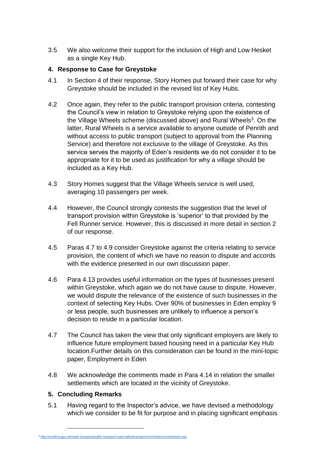3.5 We also welcome their support for the inclusion of High and Low Hesket as a single Key Hub.

### **4. Response to Case for Greystoke**

- 4.1 In Section 4 of their response, Story Homes put forward their case for why Greystoke should be included in the revised list of Key Hubs.
- 4.2 Once again, they refer to the public transport provision criteria, contesting the Council's view in relation to Greystoke relying upon the existence of the Village Wheels scheme (discussed above) and Rural Wheels<sup>3</sup>. On the latter, Rural Wheels is a service available to anyone outside of Penrith and without access to public transport (subject to approval from the Planning Service) and therefore not exclusive to the village of Greystoke. As this service serves the majority of Eden's residents we do not consider it to be appropriate for it to be used as justification for why a village should be included as a Key Hub.
- 4.3 Story Homes suggest that the Village Wheels service is well used, averaging 10 passengers per week.
- 4.4 However, the Council strongly contests the suggestion that the level of transport provision within Greystoke is 'superior' to that provided by the Fell Runner service. However, this is discussed in more detail in section 2 of our response.
- 4.5 Paras 4.7 to 4.9 consider Greystoke against the criteria relating to service provision, the content of which we have no reason to dispute and accords with the evidence presented in our own discussion paper.
- 4.6 Para 4.13 provides useful information on the types of businesses present within Greystoke, which again we do not have cause to dispute. However, we would dispute the relevance of the existence of such businesses in the context of selecting Key Hubs. Over 90% of businesses in Eden employ 9 or less people, such businesses are unlikely to influence a person's decision to reside in a particular location.
- 4.7 The Council has taken the view that only significant employers are likely to influence future employment based housing need in a particular Key Hub location.Further details on this consideration can be found in the mini-topic paper, Employment in Eden
- 4.8 We acknowledge the comments made in Para 4.14 in relation the smaller settlements which are located in the vicinity of Greystoke.

## **5. Concluding Remarks**

l

5.1 Having regard to the Inspector's advice, we have devised a methodology which we consider to be fit for purpose and in placing significant emphasis

<sup>3</sup> <http://cumbria.gov.uk/roads-transport/public-transport-road-safety/transport/commtrans/ruralwheels.asp>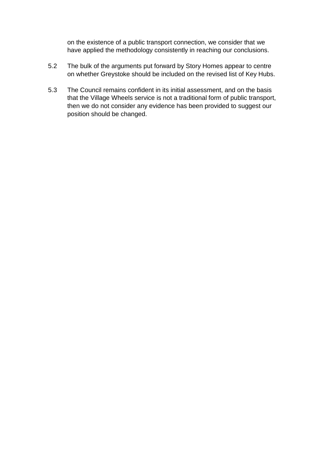on the existence of a public transport connection, we consider that we have applied the methodology consistently in reaching our conclusions.

- 5.2 The bulk of the arguments put forward by Story Homes appear to centre on whether Greystoke should be included on the revised list of Key Hubs.
- 5.3 The Council remains confident in its initial assessment, and on the basis that the Village Wheels service is not a traditional form of public transport, then we do not consider any evidence has been provided to suggest our position should be changed.